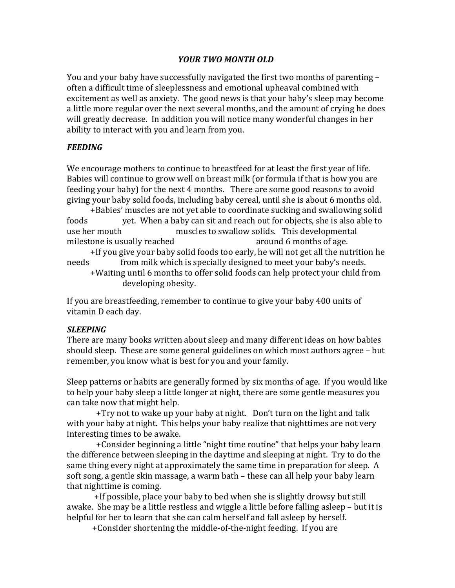# *YOUR TWO MONTH OLD*

You and your baby have successfully navigated the first two months of parenting – often a difficult time of sleeplessness and emotional upheaval combined with excitement as well as anxiety. The good news is that your baby's sleep may become a little more regular over the next several months, and the amount of crying he does will greatly decrease. In addition you will notice many wonderful changes in her ability to interact with you and learn from you.

# *FEEDING*

We encourage mothers to continue to breastfeed for at least the first year of life. Babies will continue to grow well on breast milk (or formula if that is how you are feeding your baby) for the next 4 months. There are some good reasons to avoid giving your baby solid foods, including baby cereal, until she is about 6 months old.

+Babies' muscles are not yet able to coordinate sucking and swallowing solid foods yet. When a baby can sit and reach out for objects, she is also able to use her mouth muscles to swallow solids. This developmental milestone is usually reached around 6 months of age.

+If you give your baby solid foods too early, he will not get all the nutrition he needs from milk which is specially designed to meet your baby's needs.

+Waiting until 6 months to offer solid foods can help protect your child from developing obesity.

If you are breastfeeding, remember to continue to give your baby 400 units of vitamin D each day.

# *SLEEPING*

There are many books written about sleep and many different ideas on how babies should sleep. These are some general guidelines on which most authors agree – but remember, you know what is best for you and your family.

Sleep patterns or habits are generally formed by six months of age. If you would like to help your baby sleep a little longer at night, there are some gentle measures you can take now that might help.

 $+Try$  not to wake up your baby at night. Don't turn on the light and talk with your baby at night. This helps your baby realize that nighttimes are not very interesting times to be awake.

+Consider beginning a little "night time routine" that helps your baby learn the difference between sleeping in the daytime and sleeping at night. Try to do the same thing every night at approximately the same time in preparation for sleep. A soft song, a gentle skin massage, a warm bath – these can all help your baby learn that nighttime is coming.

+If possible, place your baby to bed when she is slightly drowsy but still awake. She may be a little restless and wiggle a little before falling asleep – but it is helpful for her to learn that she can calm herself and fall asleep by herself.

+ Consider shortening the middle-of-the-night feeding. If you are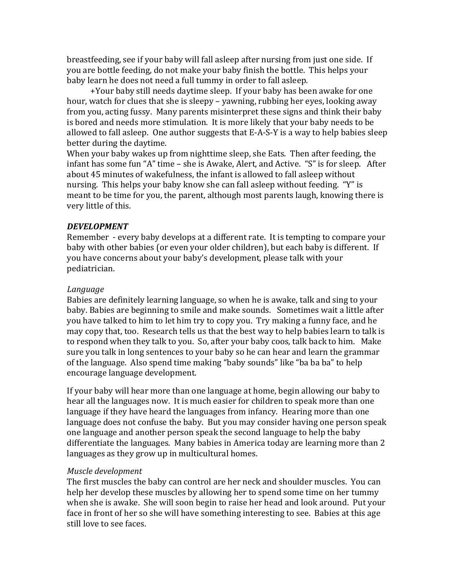breastfeeding, see if your baby will fall asleep after nursing from just one side. If you are bottle feeding, do not make your baby finish the bottle. This helps your baby learn he does not need a full tummy in order to fall asleep.

+Your baby still needs daytime sleep. If your baby has been awake for one hour, watch for clues that she is sleepy - yawning, rubbing her eyes, looking away from you, acting fussy. Many parents misinterpret these signs and think their baby is bored and needs more stimulation. It is more likely that your baby needs to be allowed to fall asleep. One author suggests that  $E-A-S-Y$  is a way to help babies sleep better during the daytime.

When your baby wakes up from nighttime sleep, she Eats. Then after feeding, the infant has some fun "A" time - she is Awake, Alert, and Active. "S" is for sleep. After about 45 minutes of wakefulness, the infant is allowed to fall asleep without nursing. This helps your baby know she can fall asleep without feeding. "Y" is meant to be time for you, the parent, although most parents laugh, knowing there is very little of this.

#### *DEVELOPMENT*

Remember - every baby develops at a different rate. It is tempting to compare your baby with other babies (or even your older children), but each baby is different. If you have concerns about your baby's development, please talk with your pediatrician.

#### *Language*

Babies are definitely learning language, so when he is awake, talk and sing to your baby. Babies are beginning to smile and make sounds. Sometimes wait a little after you have talked to him to let him try to copy you. Try making a funny face, and he may copy that, too. Research tells us that the best way to help babies learn to talk is to respond when they talk to you. So, after your baby coos, talk back to him. Make sure you talk in long sentences to your baby so he can hear and learn the grammar of the language. Also spend time making "baby sounds" like "ba ba ba" to help encourage language development.

If your baby will hear more than one language at home, begin allowing our baby to hear all the languages now. It is much easier for children to speak more than one language if they have heard the languages from infancy. Hearing more than one language does not confuse the baby. But you may consider having one person speak one language and another person speak the second language to help the baby differentiate the languages. Many babies in America today are learning more than 2 languages as they grow up in multicultural homes.

#### *Muscle development*

The first muscles the baby can control are her neck and shoulder muscles. You can help her develop these muscles by allowing her to spend some time on her tummy when she is awake. She will soon begin to raise her head and look around. Put your face in front of her so she will have something interesting to see. Babies at this age still love to see faces.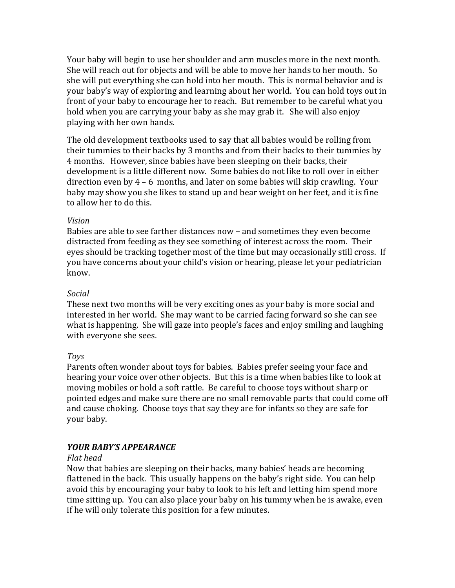Your baby will begin to use her shoulder and arm muscles more in the next month. She will reach out for objects and will be able to move her hands to her mouth. So she will put everything she can hold into her mouth. This is normal behavior and is your baby's way of exploring and learning about her world. You can hold toys out in front of your baby to encourage her to reach. But remember to be careful what you hold when you are carrying your baby as she may grab it. She will also enjoy playing with her own hands.

The old development textbooks used to say that all babies would be rolling from their tummies to their backs by 3 months and from their backs to their tummies by 4 months. However, since babies have been sleeping on their backs, their development is a little different now. Some babies do not like to roll over in either direction even by  $4 - 6$  months, and later on some babies will skip crawling. Your baby may show you she likes to stand up and bear weight on her feet, and it is fine to allow her to do this.

#### *Vision*

Babies are able to see farther distances now – and sometimes they even become distracted from feeding as they see something of interest across the room. Their eyes should be tracking together most of the time but may occasionally still cross. If you have concerns about your child's vision or hearing, please let your pediatrician know.

#### *Social*

These next two months will be very exciting ones as your baby is more social and interested in her world. She may want to be carried facing forward so she can see what is happening. She will gaze into people's faces and enjoy smiling and laughing with everyone she sees.

### *Toys*

Parents often wonder about toys for babies. Babies prefer seeing your face and hearing your voice over other objects. But this is a time when babies like to look at moving mobiles or hold a soft rattle. Be careful to choose toys without sharp or pointed edges and make sure there are no small removable parts that could come off and cause choking. Choose toys that say they are for infants so they are safe for your baby.

### *YOUR BABY'S APPEARANCE*

#### *Flat head*

Now that babies are sleeping on their backs, many babies' heads are becoming flattened in the back. This usually happens on the baby's right side. You can help avoid this by encouraging your baby to look to his left and letting him spend more time sitting up. You can also place your baby on his tummy when he is awake, even if he will only tolerate this position for a few minutes.